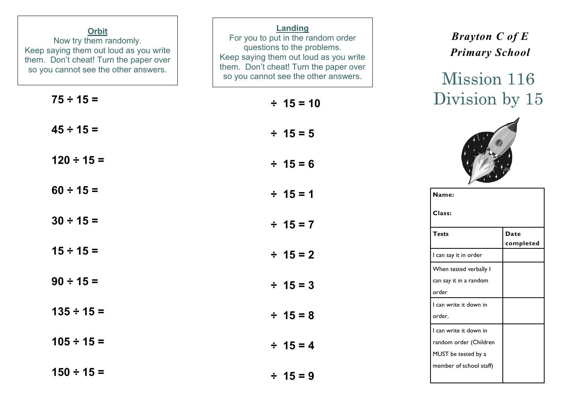| <b>Orbit</b><br>Now try them randomly.<br>Keep saying them out loud as you write<br>them. Don't cheat! Turn the paper over<br>so you cannot see the other answers. | Landing<br>For you to put in the random order<br>questions to the problems.<br>Keep saying them out loud as you write<br>them. Don't cheat! Turn the paper over<br>so you cannot see the other answers. | <b>Brayton C of E</b><br><b>Primary School</b><br>Mission 116           |
|--------------------------------------------------------------------------------------------------------------------------------------------------------------------|---------------------------------------------------------------------------------------------------------------------------------------------------------------------------------------------------------|-------------------------------------------------------------------------|
| $75 \div 15 =$                                                                                                                                                     | $\div$ 15 = 10                                                                                                                                                                                          | Division by 15                                                          |
| $45 \div 15 =$                                                                                                                                                     | $\div$ 15 = 5                                                                                                                                                                                           |                                                                         |
| $120 \div 15 =$                                                                                                                                                    | $\div$ 15 = 6                                                                                                                                                                                           |                                                                         |
| $60 \div 15 =$                                                                                                                                                     | $\div$ 15 = 1                                                                                                                                                                                           | Name:                                                                   |
| $30 \div 15 =$                                                                                                                                                     | $\div$ 15 = 7                                                                                                                                                                                           | Class:<br><b>Tests</b><br><b>Date</b>                                   |
| $15 \div 15 =$                                                                                                                                                     | $\div$ 15 = 2                                                                                                                                                                                           | completed<br>I can say it in order                                      |
| $90 \div 15 =$                                                                                                                                                     | $\div$ 15 = 3                                                                                                                                                                                           | When tested verbally I<br>can say it in a random<br>order               |
| $135 \div 15 =$                                                                                                                                                    | $\div$ 15 = 8                                                                                                                                                                                           | I can write it down in<br>order.                                        |
| $105 \div 15 =$                                                                                                                                                    | $\div$ 15 = 4                                                                                                                                                                                           | I can write it down in<br>random order (Children<br>MUST be tested by a |
| $150 \div 15 =$                                                                                                                                                    | $\div$ 15 = 9                                                                                                                                                                                           | member of school staff)                                                 |